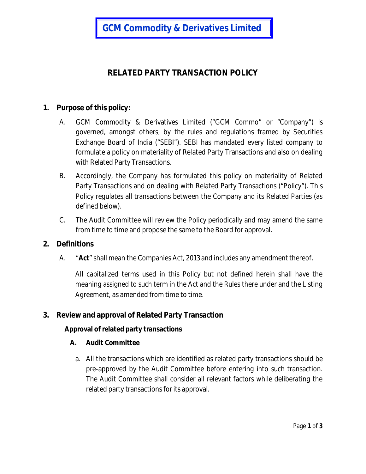**GCM Commodity & Derivatives Limited**

# **RELATED PARTY TRANSACTION POLICY**

## **1. Purpose of this policy:**

- A. GCM Commodity & Derivatives Limited ("GCM Commo" or "Company") is governed, amongst others, by the rules and regulations framed by Securities Exchange Board of India ("SEBI"). SEBI has mandated every listed company to formulate a policy on materiality of Related Party Transactions and also on dealing with Related Party Transactions.
- B. Accordingly, the Company has formulated this policy on materiality of Related Party Transactions and on dealing with Related Party Transactions ("Policy"). This Policy regulates all transactions between the Company and its Related Parties (as defined below).
- C. The Audit Committee will review the Policy periodically and may amend the same from time to time and propose the same to the Board for approval.

#### **2. Definitions**

A. "**Act**" shall mean the Companies Act, 2013 and includes any amendment thereof.

All capitalized terms used in this Policy but not defined herein shall have the meaning assigned to such term in the Act and the Rules there under and the Listing Agreement, as amended from time to time.

#### **3. Review and approval of Related Party Transaction**

#### **Approval of related party transactions**

#### **A. Audit Committee**

a. All the transactions which are identified as related party transactions should be pre-approved by the Audit Committee before entering into such transaction. The Audit Committee shall consider all relevant factors while deliberating the related party transactions for its approval.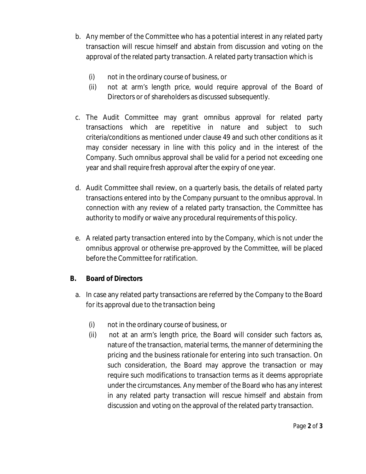- b. Any member of the Committee who has a potential interest in any related party transaction will rescue himself and abstain from discussion and voting on the approval of the related party transaction. A related party transaction which is
	- (i) not in the ordinary course of business, or
	- (ii) not at arm's length price, would require approval of the Board of Directors or of shareholders as discussed subsequently.
- c. The Audit Committee may grant omnibus approval for related party transactions which are repetitive in nature and subject to such criteria/conditions as mentioned under clause 49 and such other conditions as it may consider necessary in line with this policy and in the interest of the Company. Such omnibus approval shall be valid for a period not exceeding one year and shall require fresh approval after the expiry of one year.
- d. Audit Committee shall review, on a quarterly basis, the details of related party transactions entered into by the Company pursuant to the omnibus approval. In connection with any review of a related party transaction, the Committee has authority to modify or waive any procedural requirements of this policy.
- e. A related party transaction entered into by the Company, which is not under the omnibus approval or otherwise pre-approved by the Committee, will be placed before the Committee for ratification.

# **B. Board of Directors**

- a. In case any related party transactions are referred by the Company to the Board for its approval due to the transaction being
	- (i) not in the ordinary course of business, or
	- (ii) not at an arm's length price, the Board will consider such factors as, nature of the transaction, material terms, the manner of determining the pricing and the business rationale for entering into such transaction. On such consideration, the Board may approve the transaction or may require such modifications to transaction terms as it deems appropriate under the circumstances. Any member of the Board who has any interest in any related party transaction will rescue himself and abstain from discussion and voting on the approval of the related party transaction.